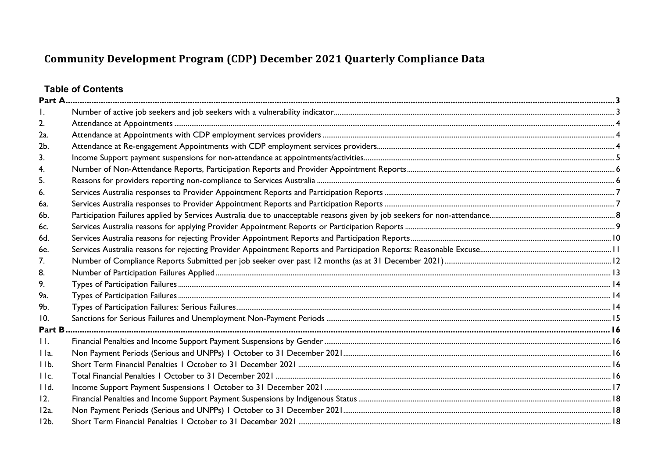# **Table of Contents**

| 2.              |  |
|-----------------|--|
| 2a.             |  |
| 2b.             |  |
| 3.              |  |
| 4.              |  |
| 5.              |  |
| 6.              |  |
| 6a.             |  |
| 6b.             |  |
| 6c.             |  |
| 6d.             |  |
| 6e.             |  |
| 7 <sub>1</sub>  |  |
| 8.              |  |
| 9.              |  |
| 9а.             |  |
| 9b.             |  |
| 10.             |  |
| Part B          |  |
| H.              |  |
| IIa.            |  |
| IIb.            |  |
| IIc.            |  |
| IId.            |  |
| 12.             |  |
| 12a.            |  |
| 12 <sub>b</sub> |  |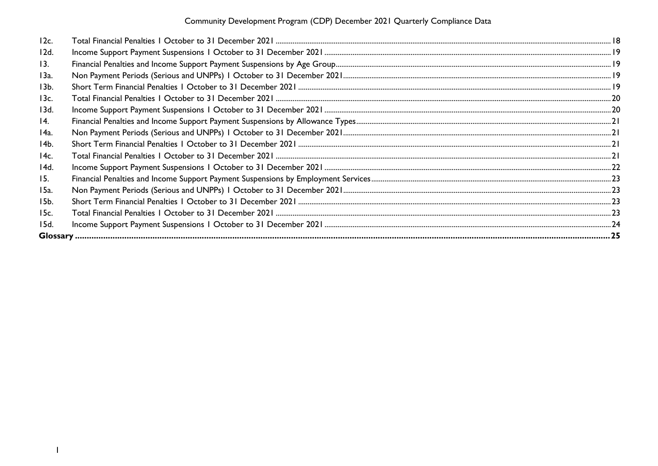| 12c.              |  |
|-------------------|--|
| 12d.              |  |
| 13.               |  |
| 13a.              |  |
| 13b.              |  |
| 13c.              |  |
| 13d.              |  |
| $\overline{14}$ . |  |
| 14a.              |  |
| 14b.              |  |
| 14c.              |  |
| 14d.              |  |
| 15.               |  |
| 15a.              |  |
| 15b.              |  |
| 15c.              |  |
| 15d.              |  |
|                   |  |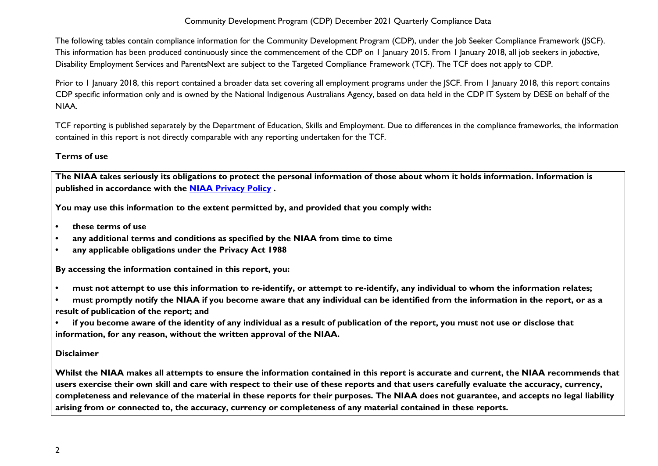The following tables contain compliance information for the Community Development Program (CDP), under the Job Seeker Compliance Framework (JSCF). This information has been produced continuously since the commencement of the CDP on 1 January 2015. From 1 January 2018, all job seekers in *jobactive*, Disability Employment Services and ParentsNext are subject to the Targeted Compliance Framework (TCF). The TCF does not apply to CDP.

Prior to 1 January 2018, this report contained a broader data set covering all employment programs under the JSCF. From 1 January 2018, this report contains CDP specific information only and is owned by the National Indigenous Australians Agency, based on data held in the CDP IT System by DESE on behalf of the NIAA.

TCF reporting is published separately by the Department of Education, Skills and Employment. Due to differences in the compliance frameworks, the information contained in this report is not directly comparable with any reporting undertaken for the TCF.

### **Terms of use**

**The NIAA takes seriously its obligations to protect the personal information of those about whom it holds information. Information is published in accordance with the [NIAA Privacy Policy](https://www.niaa.gov.au/pmc/who-we-are/accountability-and-reporting/privacy-policy) .** 

**You may use this information to the extent permitted by, and provided that you comply with:**

- **• these terms of use**
- **• any additional terms and conditions as specified by the NIAA from time to time**
- **• any applicable obligations under the Privacy Act 1988**

**By accessing the information contained in this report, you:** 

- **• must not attempt to use this information to re-identify, or attempt to re-identify, any individual to whom the information relates;**
- **• must promptly notify the NIAA if you become aware that any individual can be identified from the information in the report, or as a result of publication of the report; and**
- **• if you become aware of the identity of any individual as a result of publication of the report, you must not use or disclose that information, for any reason, without the written approval of the NIAA.**

#### **Disclaimer**

**Whilst the NIAA makes all attempts to ensure the information contained in this report is accurate and current, the NIAA recommends that users exercise their own skill and care with respect to their use of these reports and that users carefully evaluate the accuracy, currency, completeness and relevance of the material in these reports for their purposes. The NIAA does not guarantee, and accepts no legal liability arising from or connected to, the accuracy, currency or completeness of any material contained in these reports.**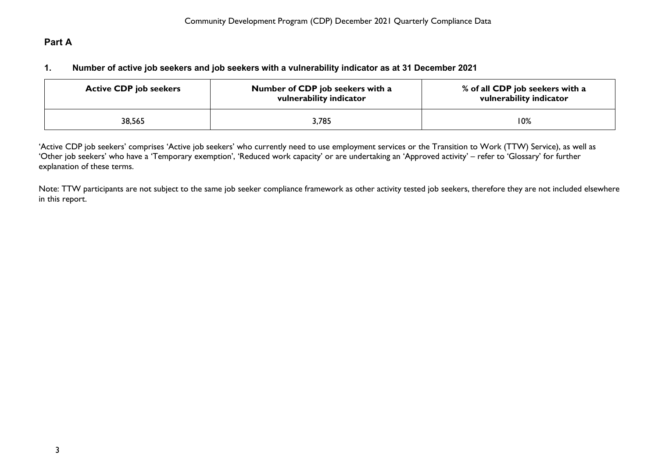# <span id="page-3-1"></span><span id="page-3-0"></span>**Part A**

### **1. Number of active job seekers and job seekers with a vulnerability indicator as at 31 December 2021**

| <b>Active CDP job seekers</b> | Number of CDP job seekers with a<br>vulnerability indicator | % of all CDP job seekers with a<br>vulnerability indicator |
|-------------------------------|-------------------------------------------------------------|------------------------------------------------------------|
| 38,565                        | 3,785                                                       | 10%                                                        |

'Active CDP job seekers' comprises 'Active job seekers' who currently need to use employment services or the Transition to Work (TTW) Service), as well as 'Other job seekers' who have a 'Temporary exemption', 'Reduced work capacity' or are undertaking an 'Approved activity' – refer to 'Glossary' for further explanation of these terms.

Note: TTW participants are not subject to the same job seeker compliance framework as other activity tested job seekers, therefore they are not included elsewhere in this report.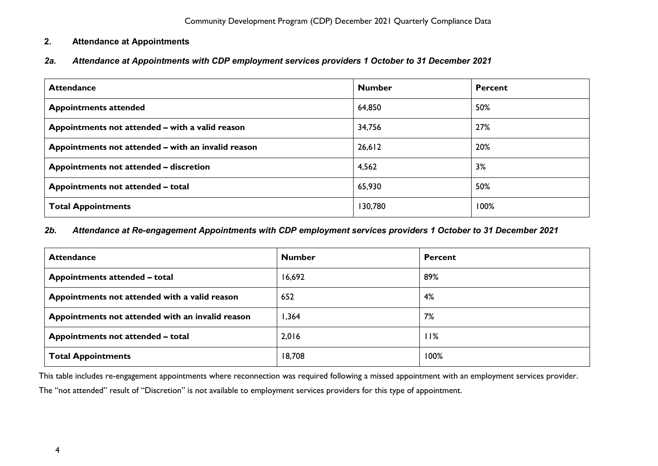### <span id="page-4-0"></span>**2. Attendance at Appointments**

<span id="page-4-1"></span>*2a. Attendance at Appointments with CDP employment services providers 1 October to 31 December 2021*

| <b>Attendance</b>                                  | <b>Number</b> | <b>Percent</b> |
|----------------------------------------------------|---------------|----------------|
| <b>Appointments attended</b>                       | 64,850        | 50%            |
| Appointments not attended – with a valid reason    | 34,756        | 27%            |
| Appointments not attended – with an invalid reason | 26,612        | 20%            |
| Appointments not attended - discretion             | 4,562         | 3%             |
| Appointments not attended - total                  | 65,930        | 50%            |
| <b>Total Appointments</b>                          | 130,780       | 100%           |

#### <span id="page-4-2"></span>*2b. Attendance at Re-engagement Appointments with CDP employment services providers 1 October to 31 December 2021*

| <b>Attendance</b>                                | <b>Number</b> | <b>Percent</b> |
|--------------------------------------------------|---------------|----------------|
| Appointments attended - total                    | 16,692        | 89%            |
| Appointments not attended with a valid reason    | 652           | 4%             |
| Appointments not attended with an invalid reason | 364,          | 7%             |
| Appointments not attended - total                | 2,016         | 11%            |
| <b>Total Appointments</b>                        | 18,708        | 100%           |

This table includes re-engagement appointments where reconnection was required following a missed appointment with an employment services provider.

The "not attended" result of "Discretion" is not available to employment services providers for this type of appointment.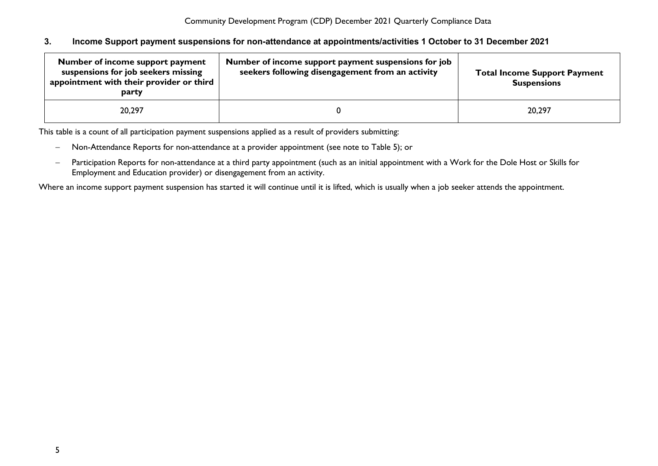#### <span id="page-5-0"></span>**3. Income Support payment suspensions for non-attendance at appointments/activities 1 October to 31 December 2021**

| Number of income support payment<br>suspensions for job seekers missing<br>appointment with their provider or third<br>party | Number of income support payment suspensions for job<br>seekers following disengagement from an activity | <b>Total Income Support Payment</b><br><b>Suspensions</b> |
|------------------------------------------------------------------------------------------------------------------------------|----------------------------------------------------------------------------------------------------------|-----------------------------------------------------------|
| 20,297                                                                                                                       |                                                                                                          | 20,297                                                    |

This table is a count of all participation payment suspensions applied as a result of providers submitting:

- − Non-Attendance Reports for non-attendance at a provider appointment (see note to Table 5); or
- − Participation Reports for non-attendance at a third party appointment (such as an initial appointment with a Work for the Dole Host or Skills for Employment and Education provider) or disengagement from an activity.

Where an income support payment suspension has started it will continue until it is lifted, which is usually when a job seeker attends the appointment.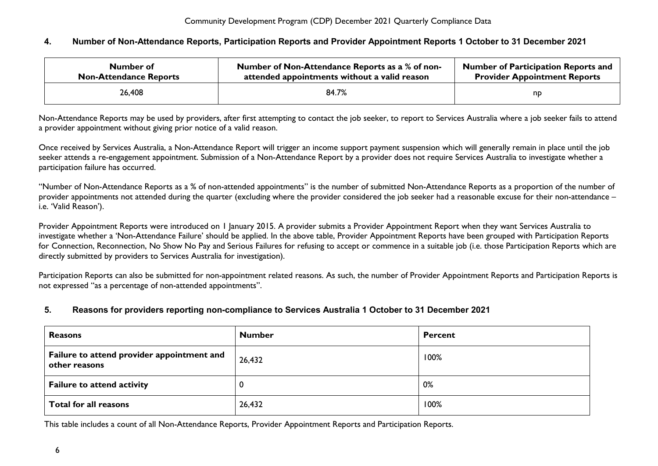#### <span id="page-6-0"></span>**4. Number of Non-Attendance Reports, Participation Reports and Provider Appointment Reports 1 October to 31 December 2021**

| Number of                     | Number of Non-Attendance Reports as a % of non- | <b>Number of Participation Reports and</b> |
|-------------------------------|-------------------------------------------------|--------------------------------------------|
| <b>Non-Attendance Reports</b> | attended appointments without a valid reason    | <b>Provider Appointment Reports</b>        |
| 26,408                        | 84.7%                                           | np                                         |

Non-Attendance Reports may be used by providers, after first attempting to contact the job seeker, to report to Services Australia where a job seeker fails to attend a provider appointment without giving prior notice of a valid reason.

Once received by Services Australia, a Non-Attendance Report will trigger an income support payment suspension which will generally remain in place until the job seeker attends a re-engagement appointment. Submission of a Non-Attendance Report by a provider does not require Services Australia to investigate whether a participation failure has occurred.

"Number of Non-Attendance Reports as a % of non-attended appointments" is the number of submitted Non-Attendance Reports as a proportion of the number of provider appointments not attended during the quarter (excluding where the provider considered the job seeker had a reasonable excuse for their non-attendance – i.e. 'Valid Reason').

Provider Appointment Reports were introduced on 1 January 2015. A provider submits a Provider Appointment Report when they want Services Australia to investigate whether a 'Non-Attendance Failure' should be applied. In the above table, Provider Appointment Reports have been grouped with Participation Reports for Connection, Reconnection, No Show No Pay and Serious Failures for refusing to accept or commence in a suitable job (i.e. those Participation Reports which are directly submitted by providers to Services Australia for investigation).

Participation Reports can also be submitted for non-appointment related reasons. As such, the number of Provider Appointment Reports and Participation Reports is not expressed "as a percentage of non-attended appointments".

#### <span id="page-6-1"></span>**5. Reasons for providers reporting non-compliance to Services Australia 1 October to 31 December 2021**

| <b>Reasons</b>                                              | <b>Number</b> | <b>Percent</b> |
|-------------------------------------------------------------|---------------|----------------|
| Failure to attend provider appointment and<br>other reasons | 26,432        | 100%           |
| <b>Failure to attend activity</b>                           |               | 0%             |
| Total for all reasons                                       | 26,432        | 100%           |

This table includes a count of all Non-Attendance Reports, Provider Appointment Reports and Participation Reports.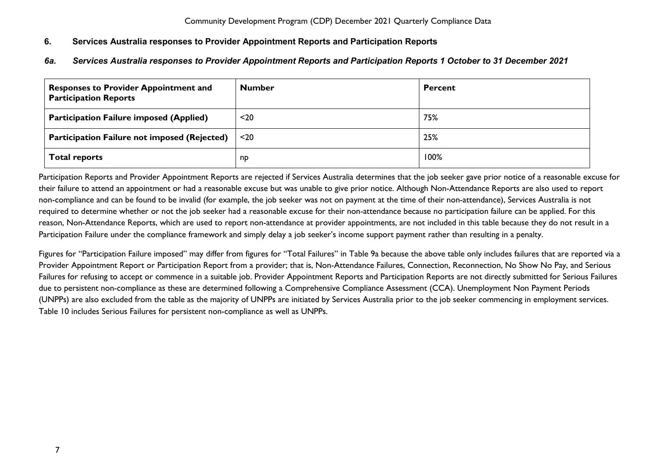### <span id="page-7-0"></span>**6. Services Australia responses to Provider Appointment Reports and Participation Reports**

### <span id="page-7-1"></span>*6a. Services Australia responses to Provider Appointment Reports and Participation Reports 1 October to 31 December 2021*

| <b>Responses to Provider Appointment and</b><br><b>Participation Reports</b> | <b>Number</b> | <b>Percent</b> |
|------------------------------------------------------------------------------|---------------|----------------|
| <b>Participation Failure imposed (Applied)</b>                               | $20$          | 75%            |
| <b>Participation Failure not imposed (Rejected)</b>                          | $20$          | 25%            |
| <b>Total reports</b>                                                         | np            | 100%           |

Participation Reports and Provider Appointment Reports are rejected if Services Australia determines that the job seeker gave prior notice of a reasonable excuse for their failure to attend an appointment or had a reasonable excuse but was unable to give prior notice. Although Non-Attendance Reports are also used to report non-compliance and can be found to be invalid (for example, the job seeker was not on payment at the time of their non-attendance), Services Australia is not required to determine whether or not the job seeker had a reasonable excuse for their non-attendance because no participation failure can be applied. For this reason, Non-Attendance Reports, which are used to report non-attendance at provider appointments, are not included in this table because they do not result in a Participation Failure under the compliance framework and simply delay a job seeker's income support payment rather than resulting in a penalty.

Figures for "Participation Failure imposed" may differ from figures for "Total Failures" in Table 9a because the above table only includes failures that are reported via a Provider Appointment Report or Participation Report from a provider; that is, Non-Attendance Failures, Connection, Reconnection, No Show No Pay, and Serious Failures for refusing to accept or commence in a suitable job. Provider Appointment Reports and Participation Reports are not directly submitted for Serious Failures due to persistent non-compliance as these are determined following a Comprehensive Compliance Assessment (CCA). Unemployment Non Payment Periods (UNPPs) are also excluded from the table as the majority of UNPPs are initiated by Services Australia prior to the job seeker commencing in employment services. Table 10 includes Serious Failures for persistent non-compliance as well as UNPPs.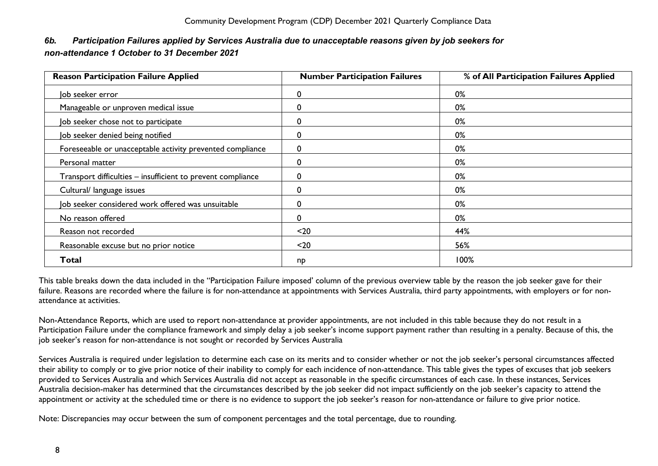### <span id="page-8-0"></span>*6b. Participation Failures applied by Services Australia due to unacceptable reasons given by job seekers for non-attendance 1 October to 31 December 2021*

| <b>Reason Participation Failure Applied</b>                 | <b>Number Participation Failures</b> | % of All Participation Failures Applied |
|-------------------------------------------------------------|--------------------------------------|-----------------------------------------|
| Job seeker error                                            |                                      | 0%                                      |
| Manageable or unproven medical issue                        |                                      | 0%                                      |
| Job seeker chose not to participate                         |                                      | 0%                                      |
| Job seeker denied being notified                            | 0                                    | 0%                                      |
| Foreseeable or unacceptable activity prevented compliance   | ∩                                    | 0%                                      |
| Personal matter                                             |                                      | 0%                                      |
| Transport difficulties - insufficient to prevent compliance |                                      | 0%                                      |
| Cultural/ language issues                                   |                                      | 0%                                      |
| Job seeker considered work offered was unsuitable           | O                                    | 0%                                      |
| No reason offered                                           | 0                                    | 0%                                      |
| Reason not recorded                                         | $20$                                 | 44%                                     |
| Reasonable excuse but no prior notice                       | $20$                                 | 56%                                     |
| Total                                                       | np                                   | 100%                                    |

This table breaks down the data included in the "Participation Failure imposed' column of the previous overview table by the reason the job seeker gave for their failure. Reasons are recorded where the failure is for non-attendance at appointments with Services Australia, third party appointments, with employers or for nonattendance at activities.

Non-Attendance Reports, which are used to report non-attendance at provider appointments, are not included in this table because they do not result in a Participation Failure under the compliance framework and simply delay a job seeker's income support payment rather than resulting in a penalty. Because of this, the job seeker's reason for non-attendance is not sought or recorded by Services Australia

Services Australia is required under legislation to determine each case on its merits and to consider whether or not the job seeker's personal circumstances affected their ability to comply or to give prior notice of their inability to comply for each incidence of non-attendance. This table gives the types of excuses that job seekers provided to Services Australia and which Services Australia did not accept as reasonable in the specific circumstances of each case. In these instances, Services Australia decision-maker has determined that the circumstances described by the job seeker did not impact sufficiently on the job seeker's capacity to attend the appointment or activity at the scheduled time or there is no evidence to support the job seeker's reason for non-attendance or failure to give prior notice.

Note: Discrepancies may occur between the sum of component percentages and the total percentage, due to rounding.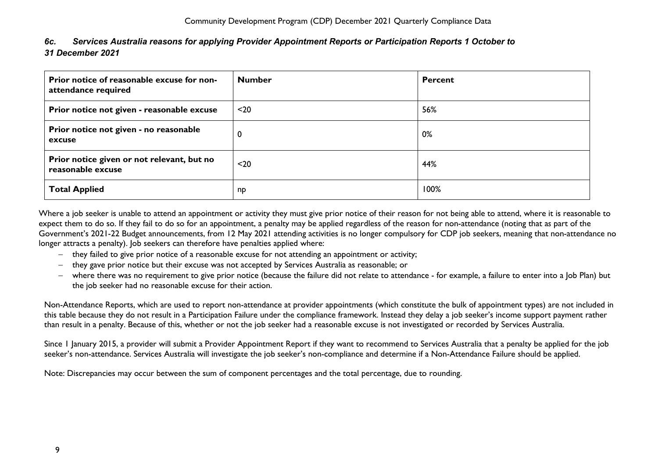<span id="page-9-0"></span>

| 6c. | Services Australia reasons for applying Provider Appointment Reports or Participation Reports 1 October to |
|-----|------------------------------------------------------------------------------------------------------------|
|     | 31 December 2021                                                                                           |

| Prior notice of reasonable excuse for non-<br>attendance required | <b>Number</b> | <b>Percent</b> |
|-------------------------------------------------------------------|---------------|----------------|
| Prior notice not given - reasonable excuse                        | $20$          | 56%            |
| Prior notice not given - no reasonable<br>excuse                  | $\mathbf 0$   | 0%             |
| Prior notice given or not relevant, but no<br>reasonable excuse   | $20$          | 44%            |
| <b>Total Applied</b>                                              | np            | 100%           |

Where a job seeker is unable to attend an appointment or activity they must give prior notice of their reason for not being able to attend, where it is reasonable to expect them to do so. If they fail to do so for an appointment, a penalty may be applied regardless of the reason for non-attendance (noting that a*s* part of the Government's 2021-22 Budget announcements, from 12 May 2021 attending activities is no longer compulsory for CDP job seekers, meaning that non-attendance no longer attracts a penalty). Job seekers can therefore have penalties applied where:

- − they failed to give prior notice of a reasonable excuse for not attending an appointment or activity;
- − they gave prior notice but their excuse was not accepted by Services Australia as reasonable; or
- − where there was no requirement to give prior notice (because the failure did not relate to attendance for example, a failure to enter into a Job Plan) but the job seeker had no reasonable excuse for their action.

Non-Attendance Reports, which are used to report non-attendance at provider appointments (which constitute the bulk of appointment types) are not included in this table because they do not result in a Participation Failure under the compliance framework. Instead they delay a job seeker's income support payment rather than result in a penalty. Because of this, whether or not the job seeker had a reasonable excuse is not investigated or recorded by Services Australia.

Since 1 January 2015, a provider will submit a Provider Appointment Report if they want to recommend to Services Australia that a penalty be applied for the job seeker's non-attendance. Services Australia will investigate the job seeker's non-compliance and determine if a Non-Attendance Failure should be applied.

Note: Discrepancies may occur between the sum of component percentages and the total percentage, due to rounding.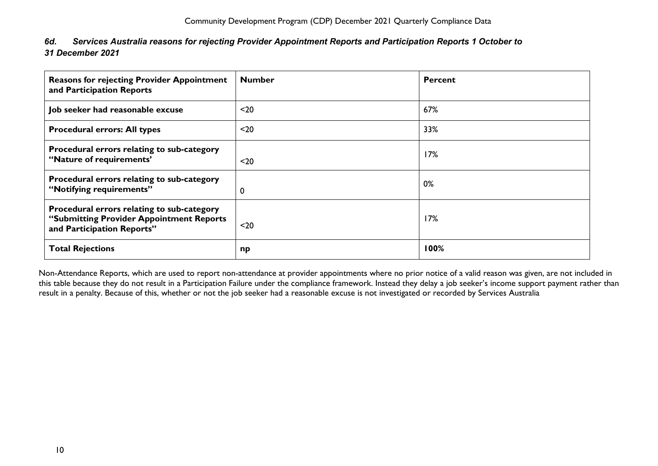<span id="page-10-0"></span>

| 6d. Services Australia reasons for rejecting Provider Appointment Reports and Participation Reports 1 October to |
|------------------------------------------------------------------------------------------------------------------|
| 31 December 2021                                                                                                 |

| <b>Reasons for rejecting Provider Appointment</b><br>and Participation Reports                                       | <b>Number</b> | Percent |
|----------------------------------------------------------------------------------------------------------------------|---------------|---------|
| Job seeker had reasonable excuse                                                                                     | $20$          | 67%     |
| <b>Procedural errors: All types</b>                                                                                  | $20$          | 33%     |
| Procedural errors relating to sub-category<br>"Nature of requirements"                                               | $20$          | 17%     |
| Procedural errors relating to sub-category<br>"Notifying requirements"                                               | 0             | 0%      |
| Procedural errors relating to sub-category<br>"Submitting Provider Appointment Reports<br>and Participation Reports" | $20$          | 17%     |
| <b>Total Rejections</b>                                                                                              | np            | 100%    |

Non-Attendance Reports, which are used to report non-attendance at provider appointments where no prior notice of a valid reason was given, are not included in this table because they do not result in a Participation Failure under the compliance framework. Instead they delay a job seeker's income support payment rather than result in a penalty. Because of this, whether or not the job seeker had a reasonable excuse is not investigated or recorded by Services Australia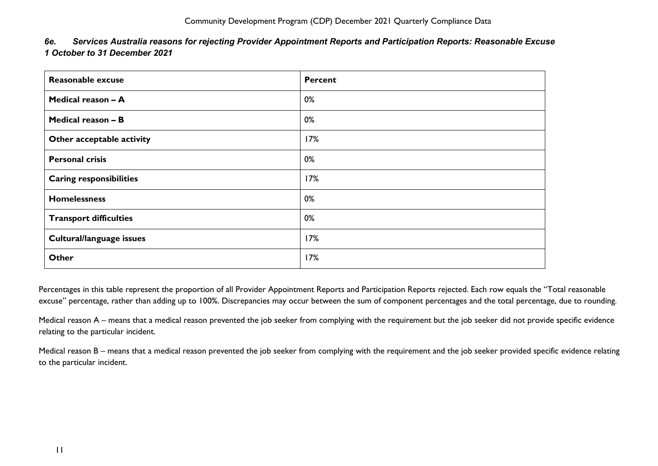<span id="page-11-0"></span>

| 6e. | Services Australia reasons for rejecting Provider Appointment Reports and Participation Reports: Reasonable Excuse |
|-----|--------------------------------------------------------------------------------------------------------------------|
|     | 1 October to 31 December 2021                                                                                      |

| Reasonable excuse              | <b>Percent</b> |
|--------------------------------|----------------|
| Medical reason - A             | 0%             |
| Medical reason - B             | 0%             |
| Other acceptable activity      | 17%            |
| <b>Personal crisis</b>         | 0%             |
| <b>Caring responsibilities</b> | 17%            |
| <b>Homelessness</b>            | 0%             |
| <b>Transport difficulties</b>  | 0%             |
| Cultural/language issues       | 17%            |
| Other                          | 17%            |

Percentages in this table represent the proportion of all Provider Appointment Reports and Participation Reports rejected. Each row equals the "Total reasonable excuse" percentage, rather than adding up to 100%. Discrepancies may occur between the sum of component percentages and the total percentage, due to rounding.

Medical reason A – means that a medical reason prevented the job seeker from complying with the requirement but the job seeker did not provide specific evidence relating to the particular incident.

Medical reason B – means that a medical reason prevented the job seeker from complying with the requirement and the job seeker provided specific evidence relating to the particular incident.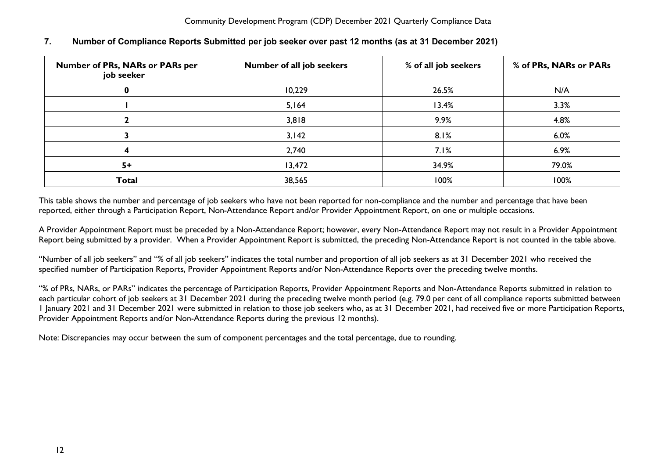| Number of PRs, NARs or PARs per<br>job seeker | Number of all job seekers | % of all job seekers | % of PRs, NARs or PARs |
|-----------------------------------------------|---------------------------|----------------------|------------------------|
|                                               | 10,229                    | 26.5%                | N/A                    |
|                                               | 5,164                     | 13.4%                | 3.3%                   |
|                                               | 3,818                     | 9.9%                 | 4.8%                   |
|                                               | 3,142                     | 8.1%                 | 6.0%                   |
|                                               | 2,740                     | 7.1%                 | 6.9%                   |
| $5+$                                          | 13,472                    | 34.9%                | 79.0%                  |
| <b>Total</b>                                  | 38,565                    | 100%                 | 100%                   |

### <span id="page-12-0"></span>**7. Number of Compliance Reports Submitted per job seeker over past 12 months (as at 31 December 2021)**

This table shows the number and percentage of job seekers who have not been reported for non-compliance and the number and percentage that have been reported, either through a Participation Report, Non-Attendance Report and/or Provider Appointment Report, on one or multiple occasions.

A Provider Appointment Report must be preceded by a Non-Attendance Report; however, every Non-Attendance Report may not result in a Provider Appointment Report being submitted by a provider. When a Provider Appointment Report is submitted, the preceding Non-Attendance Report is not counted in the table above.

"Number of all job seekers" and "% of all job seekers" indicates the total number and proportion of all job seekers as at 31 December 2021 who received the specified number of Participation Reports, Provider Appointment Reports and/or Non-Attendance Reports over the preceding twelve months.

"% of PRs, NARs, or PARs" indicates the percentage of Participation Reports, Provider Appointment Reports and Non-Attendance Reports submitted in relation to each particular cohort of job seekers at 31 December 2021 during the preceding twelve month period (e.g. 79.0 per cent of all compliance reports submitted between 1 January 2021 and 31 December 2021 were submitted in relation to those job seekers who, as at 31 December 2021, had received five or more Participation Reports, Provider Appointment Reports and/or Non-Attendance Reports during the previous 12 months).

Note: Discrepancies may occur between the sum of component percentages and the total percentage, due to rounding.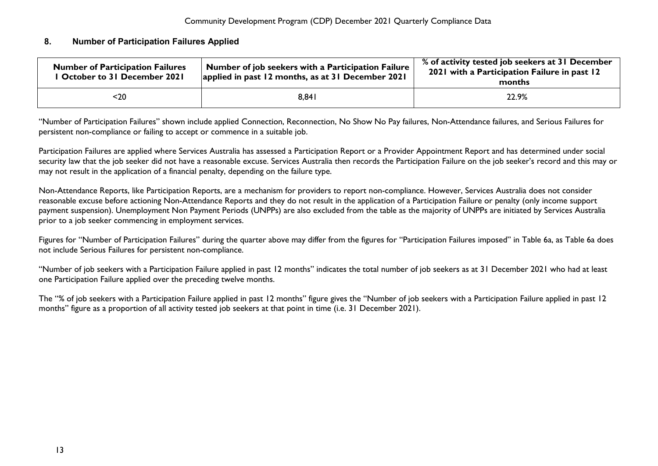### <span id="page-13-0"></span>**8. Number of Participation Failures Applied**

| <b>Number of Participation Failures</b><br><b>Cortober to 31 December 2021</b> | Number of job seekers with a Participation Failure<br>applied in past 12 months, as at 31 December 2021 | % of activity tested job seekers at 31 December<br>2021 with a Participation Failure in past 12<br>months |  |
|--------------------------------------------------------------------------------|---------------------------------------------------------------------------------------------------------|-----------------------------------------------------------------------------------------------------------|--|
| $20$                                                                           | 8,841                                                                                                   | 22.9%                                                                                                     |  |

"Number of Participation Failures" shown include applied Connection, Reconnection, No Show No Pay failures, Non-Attendance failures, and Serious Failures for persistent non-compliance or failing to accept or commence in a suitable job.

Participation Failures are applied where Services Australia has assessed a Participation Report or a Provider Appointment Report and has determined under social security law that the job seeker did not have a reasonable excuse. Services Australia then records the Participation Failure on the job seeker's record and this may or may not result in the application of a financial penalty, depending on the failure type.

Non-Attendance Reports, like Participation Reports, are a mechanism for providers to report non-compliance. However, Services Australia does not consider reasonable excuse before actioning Non-Attendance Reports and they do not result in the application of a Participation Failure or penalty (only income support payment suspension). Unemployment Non Payment Periods (UNPPs) are also excluded from the table as the majority of UNPPs are initiated by Services Australia prior to a job seeker commencing in employment services.

Figures for "Number of Participation Failures" during the quarter above may differ from the figures for "Participation Failures imposed" in Table 6a, as Table 6a does not include Serious Failures for persistent non-compliance.

"Number of job seekers with a Participation Failure applied in past 12 months" indicates the total number of job seekers as at 31 December 2021 who had at least one Participation Failure applied over the preceding twelve months.

The "% of job seekers with a Participation Failure applied in past 12 months" figure gives the "Number of job seekers with a Participation Failure applied in past 12 months" figure as a proportion of all activity tested job seekers at that point in time (i.e. 31 December 2021).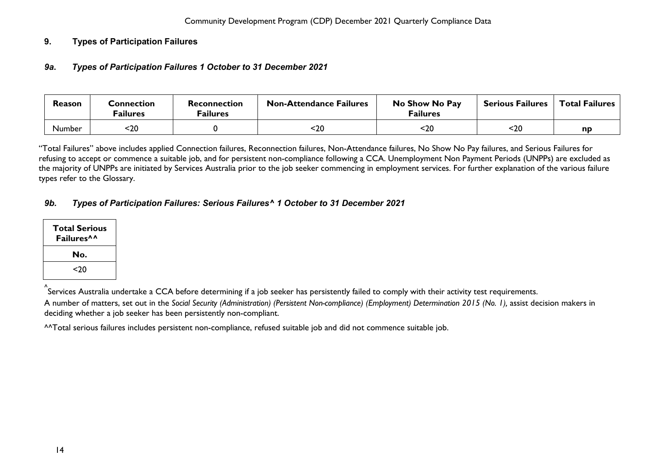### <span id="page-14-1"></span><span id="page-14-0"></span>**9. Types of Participation Failures**

### *9a***.** *Types of Participation Failures 1 October to 31 December 2021*

| Reason | Connection<br><sup>=</sup> ailures | Reconnection<br><sup>=</sup> ailures | <b>Non-Attendance Failures</b> | No Show No Pay<br><b>Failures</b> | <b>Serious Failures</b> | <b>Total Failures</b> |
|--------|------------------------------------|--------------------------------------|--------------------------------|-----------------------------------|-------------------------|-----------------------|
| Number | -20                                |                                      | 20>                            | <20                               | $20$                    | np                    |

"Total Failures" above includes applied Connection failures, Reconnection failures, Non-Attendance failures, No Show No Pay failures, and Serious Failures for refusing to accept or commence a suitable job, and for persistent non-compliance following a CCA. Unemployment Non Payment Periods (UNPPs) are excluded as the majority of UNPPs are initiated by Services Australia prior to the job seeker commencing in employment services. For further explanation of the various failure types refer to the Glossary.

### <span id="page-14-2"></span>*9b. Types of Participation Failures: Serious Failures^ 1 October to 31 December 2021*

| Total Serious<br>Failures <sup>^^</sup> |
|-----------------------------------------|
| No.                                     |
| <20                                     |

^ Services Australia undertake a CCA before determining if a job seeker has persistently failed to comply with their activity test requirements.

A number of matters, set out in the *Social Security (Administration) (Persistent Non-compliance) (Employment) Determination 2015 (No. 1),* assist decision makers in deciding whether a job seeker has been persistently non-compliant.

^^Total serious failures includes persistent non-compliance, refused suitable job and did not commence suitable job.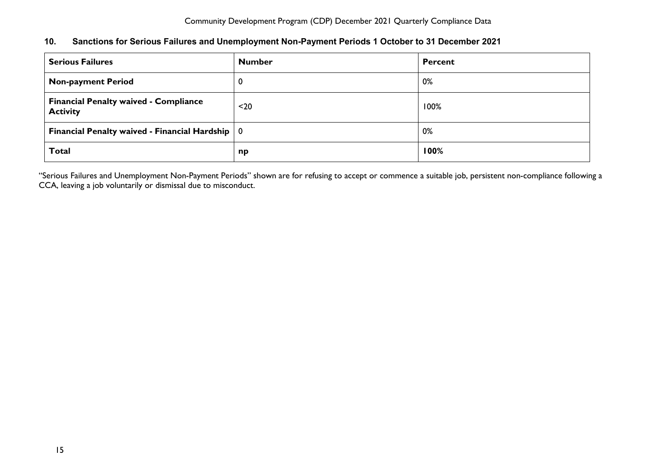### <span id="page-15-0"></span>**10. Sanctions for Serious Failures and Unemployment Non-Payment Periods 1 October to 31 December 2021**

| <b>Serious Failures</b>                                         | <b>Number</b> | <b>Percent</b> |
|-----------------------------------------------------------------|---------------|----------------|
| <b>Non-payment Period</b>                                       | 0             | 0%             |
| <b>Financial Penalty waived - Compliance</b><br><b>Activity</b> | $20$          | 100%           |
| Financial Penalty waived - Financial Hardship $\vert 0 \vert$   |               | 0%             |
| <b>Total</b>                                                    | np            | 100%           |

"Serious Failures and Unemployment Non-Payment Periods" shown are for refusing to accept or commence a suitable job, persistent non-compliance following a CCA, leaving a job voluntarily or dismissal due to misconduct.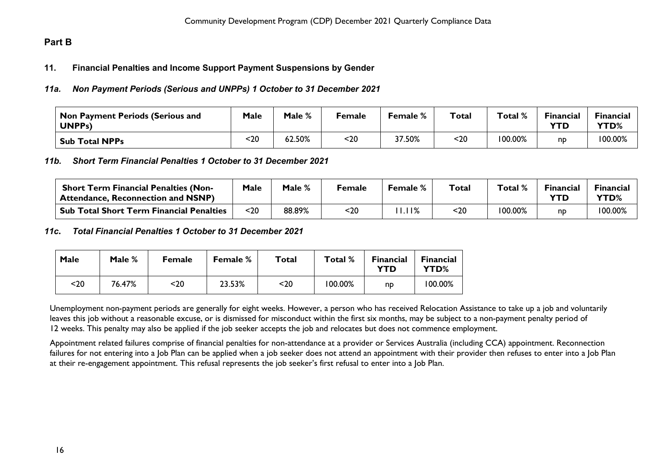## <span id="page-16-1"></span><span id="page-16-0"></span>**Part B**

### **11. Financial Penalties and Income Support Payment Suspensions by Gender**

### <span id="page-16-2"></span>*11a. Non Payment Periods (Serious and UNPPs) 1 October to 31 December 2021*

| $^\mathsf{!}$ Non Payment Periods (Serious and<br><b>UNPPs)</b> | <b>Male</b> | Male % | Female | <b>Female</b> % | Total | Total % | Financial<br>YTD | <b>Financial</b><br><b>YTD%</b> |
|-----------------------------------------------------------------|-------------|--------|--------|-----------------|-------|---------|------------------|---------------------------------|
| <b>Sub Total NPPs</b>                                           | 20          | 62.50% | <20    | 37.50%          | <20   | 100.00% | nd               | 100.00%                         |

<span id="page-16-3"></span>*11b. Short Term Financial Penalties 1 October to 31 December 2021*

| <b>Short Term Financial Penalties (Non-</b><br><sup>1</sup> Attendance, Reconnection and NSNP) | Male | Male % | Female | Female % | $\tau$ otal | Total % | <b>Financial</b> | <b>Financial</b><br>YTD% |
|------------------------------------------------------------------------------------------------|------|--------|--------|----------|-------------|---------|------------------|--------------------------|
| <b>Sub Total Short Term Financial Penalties</b>                                                | <20  | 88.89% | <20    | l I%     | $20$        | 100.00% | np               | 100.00%                  |

#### <span id="page-16-4"></span>*11c***.** *Total Financial Penalties 1 October to 31 December 2021*

| <b>Male</b> | Male % | <b>Female</b> | <b>Female %</b> | Total | Total % | <b>Financial</b><br>YTD | <b>Financial</b><br>YTD% |
|-------------|--------|---------------|-----------------|-------|---------|-------------------------|--------------------------|
| <20         | 76.47% | <20           | 23.53%          | <20   | 100.00% | np                      | 100.00%                  |

Unemployment non-payment periods are generally for eight weeks. However, a person who has received Relocation Assistance to take up a job and voluntarily leaves this job without a reasonable excuse, or is dismissed for misconduct within the first six months, may be subject to a non-payment penalty period of 12 weeks. This penalty may also be applied if the job seeker accepts the job and relocates but does not commence employment.

Appointment related failures comprise of financial penalties for non-attendance at a provider or Services Australia (including CCA) appointment. Reconnection failures for not entering into a Job Plan can be applied when a job seeker does not attend an appointment with their provider then refuses to enter into a Job Plan at their re-engagement appointment. This refusal represents the job seeker's first refusal to enter into a Job Plan.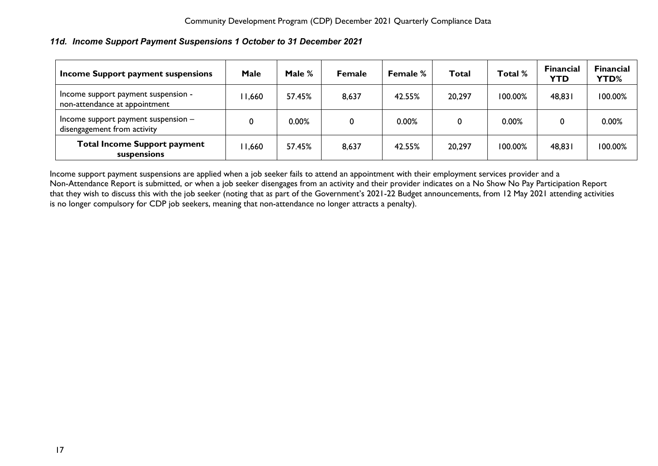### <span id="page-17-0"></span>*11d. Income Support Payment Suspensions 1 October to 31 December 2021*

| Income Support payment suspensions                                   | Male  | Male % | <b>Female</b> | Female % | Total  | Total % | <b>Financial</b><br><b>YTD</b> | <b>Financial</b><br><b>YTD%</b> |
|----------------------------------------------------------------------|-------|--------|---------------|----------|--------|---------|--------------------------------|---------------------------------|
| Income support payment suspension -<br>non-attendance at appointment | 1,660 | 57.45% | 8,637         | 42.55%   | 20,297 | 100.00% | 48,831                         | 100.00%                         |
| Income support payment suspension -<br>disengagement from activity   |       | 0.00%  | 0             | 0.00%    | 0      | 0.00%   |                                | 0.00%                           |
| <b>Total Income Support payment</b><br>suspensions                   | 1,660 | 57.45% | 8,637         | 42.55%   | 20,297 | 100.00% | 48,831                         | 100.00%                         |

Income support payment suspensions are applied when a job seeker fails to attend an appointment with their employment services provider and a Non-Attendance Report is submitted, or when a job seeker disengages from an activity and their provider indicates on a No Show No Pay Participation Report that they wish to discuss this with the job seeker (noting that a*s* part of the Government's 2021-22 Budget announcements, from 12 May 2021 attending activities is no longer compulsory for CDP job seekers, meaning that non-attendance no longer attracts a penalty).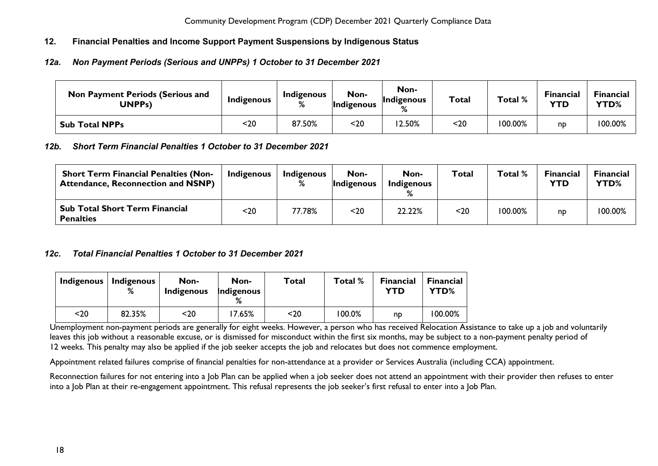### <span id="page-18-0"></span>**12. Financial Penalties and Income Support Payment Suspensions by Indigenous Status**

### <span id="page-18-1"></span>*12a. Non Payment Periods (Serious and UNPPs) 1 October to 31 December 2021*

| <b>Non Payment Periods (Serious and</b><br>UNPPs) | Indigenous | Indigenous | Non-<br>Indigenous | Non-<br>Indigenous | <b>Total</b> | Total % | <b>Financial</b><br><b>YTD</b> | Financial<br>YTD% |
|---------------------------------------------------|------------|------------|--------------------|--------------------|--------------|---------|--------------------------------|-------------------|
| <b>Sub Total NPPs</b>                             | <20        | 87.50%     | <20                | 2.50%              | $20$         | '00.00% | np                             | 100.00%           |

### <span id="page-18-2"></span>*12b. Short Term Financial Penalties 1 October to 31 December 2021*

| <b>Short Term Financial Penalties (Non-</b><br><b>Attendance, Reconnection and NSNP)</b> | Indigenous | Indigenous | Non-<br><b>Indigenous</b> | Non-<br>Indigenous | <b>Total</b> | Total %    | <b>Financial</b><br>YTD | Financial<br>YTD% |
|------------------------------------------------------------------------------------------|------------|------------|---------------------------|--------------------|--------------|------------|-------------------------|-------------------|
| <b>Sub Total Short Term Financial</b><br><b>Penalties</b>                                | <20        | 77.78%     | $20$                      | 22.22%             | $20$         | $100.00\%$ | np                      | 100.00%           |

### <span id="page-18-3"></span>*12c. Total Financial Penalties 1 October to 31 December 2021*

| Indigenous | <b>Indigenous</b><br>% | Non-<br>Indigenous | Non-<br>Indigenous | Total | Total % | <b>Financial</b><br>YTD | <b>Financial</b><br>YTD% |
|------------|------------------------|--------------------|--------------------|-------|---------|-------------------------|--------------------------|
| $20$       | 82.35%                 | <20                | 7.65%              | <20   | 100.0%  | np                      | 100.00%                  |

Unemployment non-payment periods are generally for eight weeks. However, a person who has received Relocation Assistance to take up a job and voluntarily leaves this job without a reasonable excuse, or is dismissed for misconduct within the first six months, may be subject to a non-payment penalty period of 12 weeks. This penalty may also be applied if the job seeker accepts the job and relocates but does not commence employment.

Appointment related failures comprise of financial penalties for non-attendance at a provider or Services Australia (including CCA) appointment.

Reconnection failures for not entering into a Job Plan can be applied when a job seeker does not attend an appointment with their provider then refuses to enter into a Job Plan at their re-engagement appointment. This refusal represents the job seeker's first refusal to enter into a Job Plan.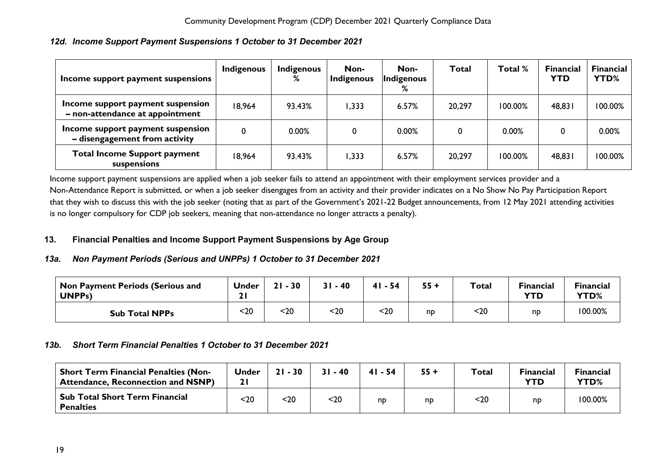| Income support payment suspensions                                   | <b>Indigenous</b> | <b>Indigenous</b><br>℅ | Non-<br>Indigenous | Non-<br>Indigenous<br>℅ | Total  | Total % | <b>Financial</b><br><b>YTD</b> | <b>Financial</b><br>YTD% |
|----------------------------------------------------------------------|-------------------|------------------------|--------------------|-------------------------|--------|---------|--------------------------------|--------------------------|
| Income support payment suspension<br>- non-attendance at appointment | 18,964            | 93.43%                 | 1,333              | 6.57%                   | 20,297 | 100.00% | 48,831                         | 100.00%                  |
| Income support payment suspension<br>- disengagement from activity   | $\mathbf 0$       | 0.00%                  | 0                  | 0.00%                   |        | 0.00%   | 0                              | 0.00%                    |
| <b>Total Income Support payment</b><br>suspensions                   | 18,964            | 93.43%                 | 1,333              | 6.57%                   | 20,297 | 100.00% | 48,831                         | 100.00%                  |

## <span id="page-19-0"></span>*12d. Income Support Payment Suspensions 1 October to 31 December 2021*

Income support payment suspensions are applied when a job seeker fails to attend an appointment with their employment services provider and a Non-Attendance Report is submitted, or when a job seeker disengages from an activity and their provider indicates on a No Show No Pay Participation Report that they wish to discuss this with the job seeker (noting that a*s* part of the Government's 2021-22 Budget announcements, from 12 May 2021 attending activities is no longer compulsory for CDP job seekers, meaning that non-attendance no longer attracts a penalty).

### <span id="page-19-1"></span>**13. Financial Penalties and Income Support Payment Suspensions by Age Group**

### <span id="page-19-2"></span>*13a. Non Payment Periods (Serious and UNPPs) 1 October to 31 December 2021*

| Non Payment Periods (Serious and<br>UNPP <sub>S</sub> ) | Under | $-30$<br>21 | $31 - 40$ | $41 - 54$ | $55 +$ | Total | <b>Financial</b><br><b>YTD</b> | <b>Financial</b><br>YTD% |
|---------------------------------------------------------|-------|-------------|-----------|-----------|--------|-------|--------------------------------|--------------------------|
| <b>Sub Total NPPs</b>                                   | $20$  | $20$        | 20        | $20$      | np     | $20$  | <b>n</b>                       | 100.00%                  |

### <span id="page-19-3"></span>*13b. Short Term Financial Penalties 1 October to 31 December 2021*

| <b>Short Term Financial Penalties (Non-</b><br><b>Attendance, Reconnection and NSNP)</b> | <b>Under</b> | $21 - 30$ | $31 - 40$ | $41 - 54$ | $55 +$ | <b>Total</b> | <b>Financial</b><br><b>YTD</b> | <b>Financial</b><br>YTD% |
|------------------------------------------------------------------------------------------|--------------|-----------|-----------|-----------|--------|--------------|--------------------------------|--------------------------|
| <b>Sub Total Short Term Financial</b><br><b>Penalties</b>                                | $20$         | <20       | $20$      | np        | np     | $20$         | np                             | 100.00%                  |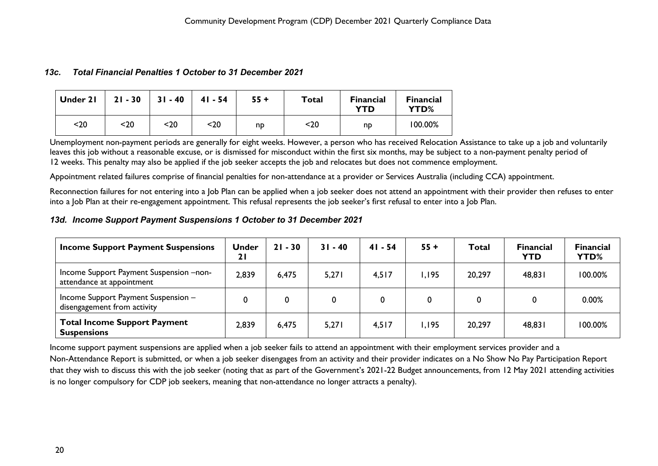#### <span id="page-20-0"></span>*13c. Total Financial Penalties 1 October to 31 December 2021*

| Under 21 | $21 - 30$ | $31 - 40$ | $41 - 54$ | $55 +$ | <b>Total</b> | <b>Financial</b><br><b>YTD</b> | <b>Financial</b><br>YTD% |
|----------|-----------|-----------|-----------|--------|--------------|--------------------------------|--------------------------|
| $20$     | $20$      | $20$      | $20$      | np     | $20$         | np                             | 100.00%                  |

Unemployment non-payment periods are generally for eight weeks. However, a person who has received Relocation Assistance to take up a job and voluntarily leaves this job without a reasonable excuse, or is dismissed for misconduct within the first six months, may be subject to a non-payment penalty period of 12 weeks. This penalty may also be applied if the job seeker accepts the job and relocates but does not commence employment.

Appointment related failures comprise of financial penalties for non-attendance at a provider or Services Australia (including CCA) appointment.

Reconnection failures for not entering into a Job Plan can be applied when a job seeker does not attend an appointment with their provider then refuses to enter into a Job Plan at their re-engagement appointment. This refusal represents the job seeker's first refusal to enter into a Job Plan.

#### <span id="page-20-1"></span>*13d. Income Support Payment Suspensions 1 October to 31 December 2021*

| <b>Income Support Payment Suspensions</b>                            | <b>Under</b><br>21 | $21 - 30$ | $31 - 40$ | $41 - 54$ | $55 +$ | <b>Total</b> | <b>Financial</b><br><b>YTD</b> | <b>Financial</b><br>YTD% |
|----------------------------------------------------------------------|--------------------|-----------|-----------|-----------|--------|--------------|--------------------------------|--------------------------|
| Income Support Payment Suspension -non-<br>attendance at appointment | 2,839              | 6,475     | 5,271     | 4,517     | .195   | 20,297       | 48,831                         | 100.00%                  |
| Income Support Payment Suspension -<br>disengagement from activity   | 0                  | $\bf{0}$  |           | 0         |        |              |                                | 0.00%                    |
| <b>Total Income Support Payment</b><br><b>Suspensions</b>            | 2,839              | 6,475     | 5,271     | 4,517     | .195   | 20,297       | 48,831                         | 100.00%                  |

Income support payment suspensions are applied when a job seeker fails to attend an appointment with their employment services provider and a Non-Attendance Report is submitted, or when a job seeker disengages from an activity and their provider indicates on a No Show No Pay Participation Report that they wish to discuss this with the job seeker (noting that a*s* part of the Government's 2021-22 Budget announcements, from 12 May 2021 attending activities is no longer compulsory for CDP job seekers, meaning that non-attendance no longer attracts a penalty).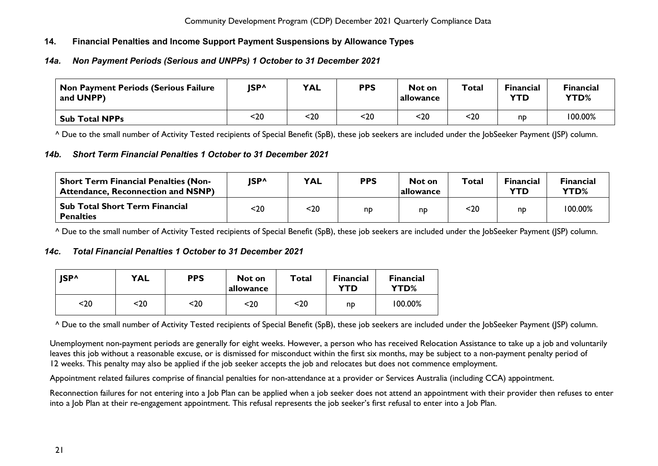### <span id="page-21-0"></span>**14. Financial Penalties and Income Support Payment Suspensions by Allowance Types**

### <span id="page-21-1"></span>*14a. Non Payment Periods (Serious and UNPPs) 1 October to 31 December 2021*

| Non Payment Periods (Serious Failure<br>and UNPP) | <b>ISP^</b> | <b>YAL</b> | <b>PPS</b> | Not on<br>allowance | Total | <b>Financial</b><br><b>YTD</b> | <b>Financial</b><br>YTD% |
|---------------------------------------------------|-------------|------------|------------|---------------------|-------|--------------------------------|--------------------------|
| <b>Sub Total NPPs</b>                             | <20         | $20$       | $20$       | <20                 | $20$  | np                             | 100.00%                  |

^ Due to the small number of Activity Tested recipients of Special Benefit (SpB), these job seekers are included under the JobSeeker Payment (JSP) column.

### <span id="page-21-2"></span>*14b. Short Term Financial Penalties 1 October to 31 December 2021*

| <b>Short Term Financial Penalties (Non-</b><br><b>Attendance, Reconnection and NSNP)</b> | <b>ISP^</b> | <b>YAL</b> | <b>PPS</b> | Not on<br><b>lallowance</b> | Total | <b>Financial</b><br><b>YTD</b> | <b>Financial</b><br>YTD% |
|------------------------------------------------------------------------------------------|-------------|------------|------------|-----------------------------|-------|--------------------------------|--------------------------|
| <b>Sub Total Short Term Financial</b><br><b>Penalties</b>                                | <20         | <20        | np         | np                          | $20$  | nd                             | 100.00%                  |

^ Due to the small number of Activity Tested recipients of Special Benefit (SpB), these job seekers are included under the JobSeeker Payment (JSP) column.

### <span id="page-21-3"></span>*14c. Total Financial Penalties 1 October to 31 December 2021*

| <b>ISP^</b> | <b>YAL</b> | <b>PPS</b> | Not on<br>allowance | Total | <b>Financial</b><br>YTD | <b>Financial</b><br>YTD% |
|-------------|------------|------------|---------------------|-------|-------------------------|--------------------------|
| <20         | <20        | <20        | <20                 | <20   | np                      | 100.00%                  |

^ Due to the small number of Activity Tested recipients of Special Benefit (SpB), these job seekers are included under the JobSeeker Payment (JSP) column.

Unemployment non-payment periods are generally for eight weeks. However, a person who has received Relocation Assistance to take up a job and voluntarily leaves this iob without a reasonable excuse, or is dismissed for misconduct within the first six months, may be subject to a non-payment penalty period of 12 weeks. This penalty may also be applied if the job seeker accepts the job and relocates but does not commence employment.

Appointment related failures comprise of financial penalties for non-attendance at a provider or Services Australia (including CCA) appointment.

Reconnection failures for not entering into a Job Plan can be applied when a job seeker does not attend an appointment with their provider then refuses to enter into a Job Plan at their re-engagement appointment. This refusal represents the job seeker's first refusal to enter into a Job Plan.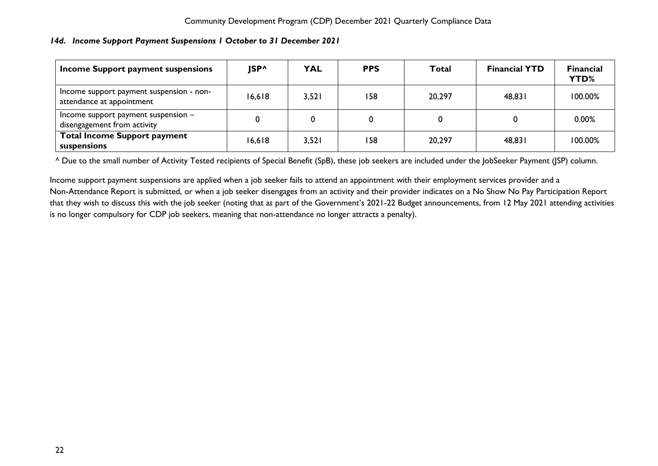### <span id="page-22-0"></span>*14d. Income Support Payment Suspensions 1 October to 31 December 2021*

| Income Support payment suspensions                                    | <b>ISP^</b> | <b>YAL</b> | <b>PPS</b> | Total  | <b>Financial YTD</b> | <b>Financial</b><br>YTD% |
|-----------------------------------------------------------------------|-------------|------------|------------|--------|----------------------|--------------------------|
| Income support payment suspension - non-<br>attendance at appointment | 16,618      | 3,521      | 158        | 20,297 | 48,831               | 100.00%                  |
| Income support payment suspension $-$<br>disengagement from activity  |             |            | 0          |        |                      | 0.00%                    |
| <b>Total Income Support payment</b><br>suspensions                    | 16,618      | 3,521      | 158        | 20,297 | 48,831               | 100.00%                  |

^ Due to the small number of Activity Tested recipients of Special Benefit (SpB), these job seekers are included under the JobSeeker Payment (JSP) column.

Income support payment suspensions are applied when a job seeker fails to attend an appointment with their employment services provider and a Non-Attendance Report is submitted, or when a job seeker disengages from an activity and their provider indicates on a No Show No Pay Participation Report that they wish to discuss this with the job seeker (noting that a*s* part of the Government's 2021-22 Budget announcements, from 12 May 2021 attending activities is no longer compulsory for CDP job seekers, meaning that non-attendance no longer attracts a penalty).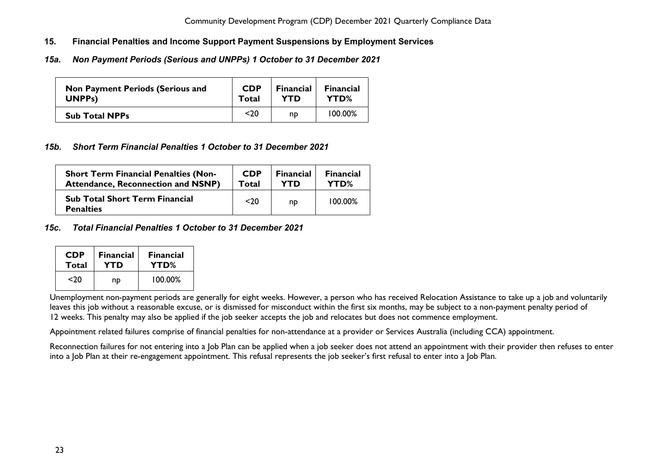- <span id="page-23-0"></span>**15. Financial Penalties and Income Support Payment Suspensions by Employment Services**
- <span id="page-23-1"></span>*15a. Non Payment Periods (Serious and UNPPs) 1 October to 31 December 2021*

| <b>Non Payment Periods (Serious and</b> | <b>CDP</b> | <b>Financial</b> | <b>Financial</b> |
|-----------------------------------------|------------|------------------|------------------|
| <b>UNPPs)</b>                           | Total      | <b>YTD</b>       | YTD%             |
| <b>Sub Total NPPs</b>                   | $20$       | np               | 100.00%          |

### <span id="page-23-2"></span>*15b. Short Term Financial Penalties 1 October to 31 December 2021*

| <b>Short Term Financial Penalties (Non-</b>               | <b>CDP</b> | <b>Financial</b> | <b>Financial</b> |
|-----------------------------------------------------------|------------|------------------|------------------|
| <b>Attendance, Reconnection and NSNP)</b>                 | Total      | YTD              | YTD%             |
| <b>Sub Total Short Term Financial</b><br><b>Penalties</b> | $20$       | nd               | 100.00%          |

### <span id="page-23-3"></span>*15c. Total Financial Penalties 1 October to 31 December 2021*

| <b>CDP</b> | <b>Financial</b> | <b>Financial</b> |  |  |
|------------|------------------|------------------|--|--|
| Total      | YTD              | YTD%             |  |  |
| <20        | np               | $100.00\%$       |  |  |

Unemployment non-payment periods are generally for eight weeks. However, a person who has received Relocation Assistance to take up a job and voluntarily leaves this job without a reasonable excuse, or is dismissed for misconduct within the first six months, may be subject to a non-payment penalty period of 12 weeks. This penalty may also be applied if the job seeker accepts the job and relocates but does not commence employment.

Appointment related failures comprise of financial penalties for non-attendance at a provider or Services Australia (including CCA) appointment.

Reconnection failures for not entering into a Job Plan can be applied when a job seeker does not attend an appointment with their provider then refuses to enter into a Job Plan at their re-engagement appointment. This refusal represents the job seeker's first refusal to enter into a Job Plan.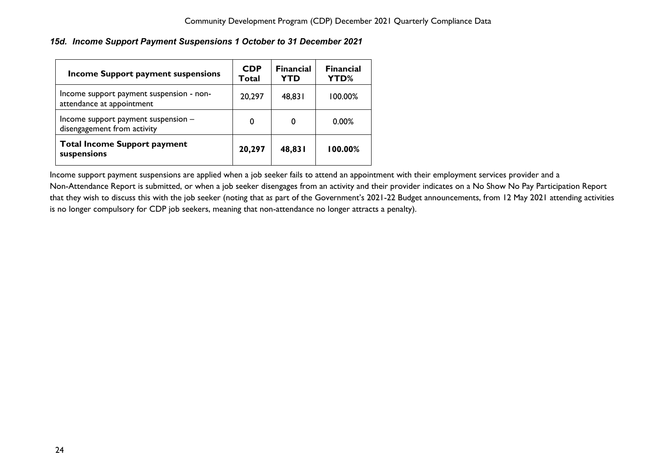### <span id="page-24-0"></span>*15d. Income Support Payment Suspensions 1 October to 31 December 2021*

| <b>Income Support payment suspensions</b>                             | <b>CDP</b><br>Total | <b>Financial</b><br>YTD | <b>Financial</b><br>YTD% |
|-----------------------------------------------------------------------|---------------------|-------------------------|--------------------------|
| Income support payment suspension - non-<br>attendance at appointment | 20,297              | 48,831                  | 100.00%                  |
| Income support payment suspension -<br>disengagement from activity    | 0                   | 0                       | 0.00%                    |
| <b>Total Income Support payment</b><br>suspensions                    | 20,297              | 48,831                  | 100.00%                  |

Income support payment suspensions are applied when a job seeker fails to attend an appointment with their employment services provider and a Non-Attendance Report is submitted, or when a job seeker disengages from an activity and their provider indicates on a No Show No Pay Participation Report that they wish to discuss this with the job seeker (noting that a*s* part of the Government's 2021-22 Budget announcements, from 12 May 2021 attending activities is no longer compulsory for CDP job seekers, meaning that non-attendance no longer attracts a penalty).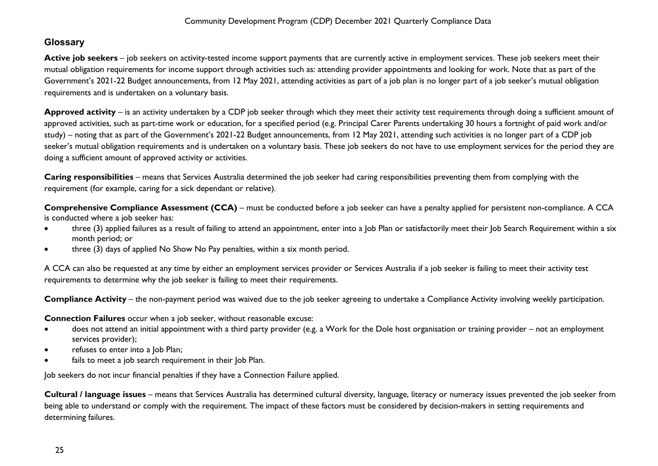# <span id="page-25-0"></span>**Glossary**

**Active job seekers** – job seekers on activity-tested income support payments that are currently active in employment services. These job seekers meet their mutual obligation requirements for income support through activities such as: attending provider appointments and looking for work. Note that as part of the Government's 2021-22 Budget announcements, from 12 May 2021, attending activities as part of a job plan is no longer part of a job seeker's mutual obligation requirements and is undertaken on a voluntary basis.

Approved activity – is an activity undertaken by a CDP job seeker through which they meet their activity test requirements through doing a sufficient amount of approved activities, such as part-time work or education, for a specified period (e.g. Principal Carer Parents undertaking 30 hours a fortnight of paid work and/or study) – noting that as part of the Government's 2021-22 Budget announcements, from 12 May 2021, attending such activities is no longer part of a CDP job seeker's mutual obligation requirements and is undertaken on a voluntary basis. These job seekers do not have to use employment services for the period they are doing a sufficient amount of approved activity or activities.

**Caring responsibilities** – means that Services Australia determined the job seeker had caring responsibilities preventing them from complying with the requirement (for example, caring for a sick dependant or relative).

**Comprehensive Compliance Assessment (CCA)** – must be conducted before a job seeker can have a penalty applied for persistent non-compliance. A CCA is conducted where a job seeker has:

- three (3) applied failures as a result of failing to attend an appointment, enter into a Job Plan or satisfactorily meet their Job Search Requirement within a six month period; or
- three (3) days of applied No Show No Pay penalties, within a six month period.

A CCA can also be requested at any time by either an employment services provider or Services Australia if a job seeker is failing to meet their activity test requirements to determine why the job seeker is failing to meet their requirements.

**Compliance Activity** – the non-payment period was waived due to the job seeker agreeing to undertake a Compliance Activity involving weekly participation.

**Connection Failures** occur when a job seeker, without reasonable excuse:

- does not attend an initial appointment with a third party provider (e.g. a Work for the Dole host organisation or training provider not an employment services provider);
- refuses to enter into a Job Plan;
- fails to meet a job search requirement in their Job Plan.

Job seekers do not incur financial penalties if they have a Connection Failure applied.

**Cultural / language issues** – means that Services Australia has determined cultural diversity, language, literacy or numeracy issues prevented the job seeker from being able to understand or comply with the requirement. The impact of these factors must be considered by decision-makers in setting requirements and determining failures.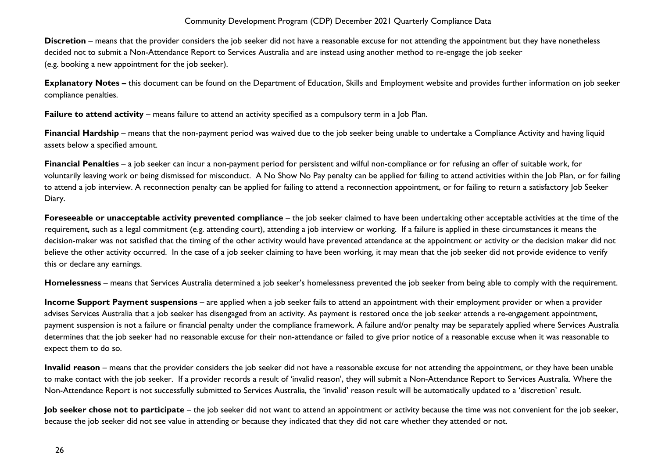**Discretion** – means that the provider considers the job seeker did not have a reasonable excuse for not attending the appointment but they have nonetheless decided not to submit a Non-Attendance Report to Services Australia and are instead using another method to re-engage the job seeker (e.g. booking a new appointment for the job seeker).

**Explanatory Notes –** this document can be found on the Department of Education, Skills and Employment website and provides further information on job seeker compliance penalties.

**Failure to attend activity** – means failure to attend an activity specified as a compulsory term in a Job Plan.

**Financial Hardship** – means that the non-payment period was waived due to the job seeker being unable to undertake a Compliance Activity and having liquid assets below a specified amount.

**Financial Penalties** – a job seeker can incur a non-payment period for persistent and wilful non-compliance or for refusing an offer of suitable work, for voluntarily leaving work or being dismissed for misconduct. A No Show No Pay penalty can be applied for failing to attend activities within the Job Plan, or for failing to attend a job interview. A reconnection penalty can be applied for failing to attend a reconnection appointment, or for failing to return a satisfactory Job Seeker Diary.

**Foreseeable or unacceptable activity prevented compliance** – the job seeker claimed to have been undertaking other acceptable activities at the time of the requirement, such as a legal commitment (e.g. attending court), attending a job interview or working. If a failure is applied in these circumstances it means the decision-maker was not satisfied that the timing of the other activity would have prevented attendance at the appointment or activity or the decision maker did not believe the other activity occurred. In the case of a job seeker claiming to have been working, it may mean that the job seeker did not provide evidence to verify this or declare any earnings.

**Homelessness** – means that Services Australia determined a job seeker's homelessness prevented the job seeker from being able to comply with the requirement.

**Income Support Payment suspensions** – are applied when a job seeker fails to attend an appointment with their employment provider or when a provider advises Services Australia that a job seeker has disengaged from an activity. As payment is restored once the job seeker attends a re-engagement appointment, payment suspension is not a failure or financial penalty under the compliance framework. A failure and/or penalty may be separately applied where Services Australia determines that the job seeker had no reasonable excuse for their non-attendance or failed to give prior notice of a reasonable excuse when it was reasonable to expect them to do so.

**Invalid reason** – means that the provider considers the job seeker did not have a reasonable excuse for not attending the appointment, or they have been unable to make contact with the job seeker. If a provider records a result of 'invalid reason', they will submit a Non-Attendance Report to Services Australia. Where the Non-Attendance Report is not successfully submitted to Services Australia, the 'invalid' reason result will be automatically updated to a 'discretion' result.

**Job seeker chose not to participate** – the job seeker did not want to attend an appointment or activity because the time was not convenient for the job seeker, because the job seeker did not see value in attending or because they indicated that they did not care whether they attended or not.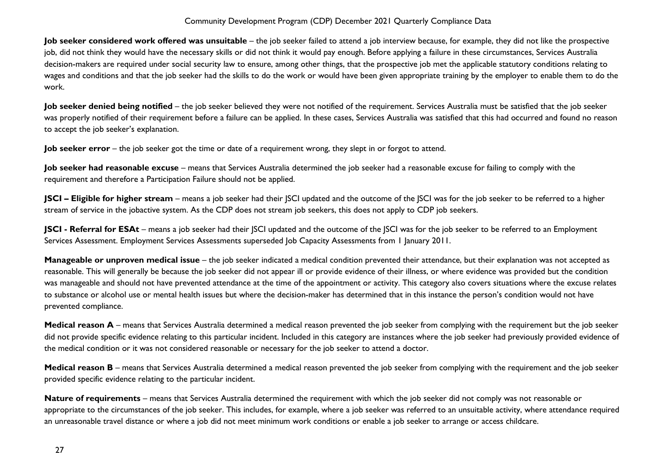**Job seeker considered work offered was unsuitable** – the job seeker failed to attend a job interview because, for example, they did not like the prospective job, did not think they would have the necessary skills or did not think it would pay enough. Before applying a failure in these circumstances, Services Australia decision-makers are required under social security law to ensure, among other things, that the prospective job met the applicable statutory conditions relating to wages and conditions and that the job seeker had the skills to do the work or would have been given appropriate training by the employer to enable them to do the work.

**Job seeker denied being notified** – the job seeker believed they were not notified of the requirement. Services Australia must be satisfied that the job seeker was properly notified of their requirement before a failure can be applied. In these cases, Services Australia was satisfied that this had occurred and found no reason to accept the job seeker's explanation.

**Job seeker error** – the job seeker got the time or date of a requirement wrong, they slept in or forgot to attend.

**Job seeker had reasonable excuse** – means that Services Australia determined the job seeker had a reasonable excuse for failing to comply with the requirement and therefore a Participation Failure should not be applied.

**JSCI – Eligible for higher stream** – means a job seeker had their JSCI updated and the outcome of the JSCI was for the job seeker to be referred to a higher stream of service in the jobactive system. As the CDP does not stream job seekers, this does not apply to CDP job seekers.

**JSCI - Referral for ESAt** – means a job seeker had their JSCI updated and the outcome of the JSCI was for the job seeker to be referred to an Employment Services Assessment. Employment Services Assessments superseded Job Capacity Assessments from 1 January 2011.

**Manageable or unproven medical issue** – the job seeker indicated a medical condition prevented their attendance, but their explanation was not accepted as reasonable. This will generally be because the job seeker did not appear ill or provide evidence of their illness, or where evidence was provided but the condition was manageable and should not have prevented attendance at the time of the appointment or activity. This category also covers situations where the excuse relates to substance or alcohol use or mental health issues but where the decision-maker has determined that in this instance the person's condition would not have prevented compliance.

Medical reason A – means that Services Australia determined a medical reason prevented the job seeker from complying with the requirement but the job seeker did not provide specific evidence relating to this particular incident. Included in this category are instances where the job seeker had previously provided evidence of the medical condition or it was not considered reasonable or necessary for the job seeker to attend a doctor.

**Medical reason B** – means that Services Australia determined a medical reason prevented the job seeker from complying with the requirement and the job seeker provided specific evidence relating to the particular incident.

**Nature of requirements** – means that Services Australia determined the requirement with which the job seeker did not comply was not reasonable or appropriate to the circumstances of the job seeker. This includes, for example, where a job seeker was referred to an unsuitable activity, where attendance required an unreasonable travel distance or where a job did not meet minimum work conditions or enable a job seeker to arrange or access childcare.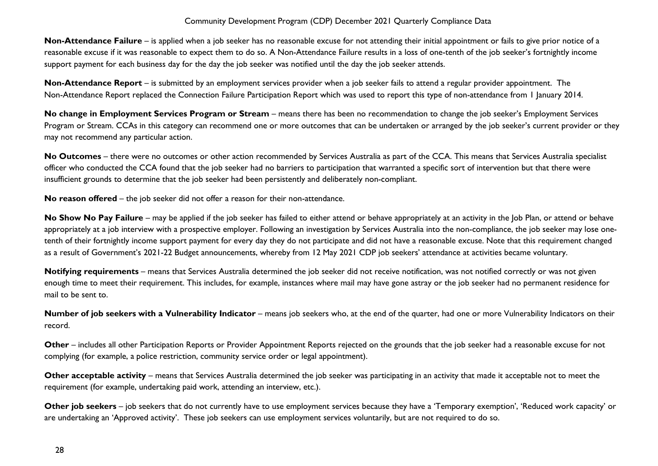**Non-Attendance Failure** – is applied when a job seeker has no reasonable excuse for not attending their initial appointment or fails to give prior notice of a reasonable excuse if it was reasonable to expect them to do so. A Non-Attendance Failure results in a loss of one-tenth of the job seeker's fortnightly income support payment for each business day for the day the job seeker was notified until the day the job seeker attends.

**Non-Attendance Report** – is submitted by an employment services provider when a job seeker fails to attend a regular provider appointment. The Non-Attendance Report replaced the Connection Failure Participation Report which was used to report this type of non-attendance from 1 January 2014.

**No change in Employment Services Program or Stream** – means there has been no recommendation to change the job seeker's Employment Services Program or Stream. CCAs in this category can recommend one or more outcomes that can be undertaken or arranged by the job seeker's current provider or they may not recommend any particular action.

**No Outcomes** – there were no outcomes or other action recommended by Services Australia as part of the CCA. This means that Services Australia specialist officer who conducted the CCA found that the job seeker had no barriers to participation that warranted a specific sort of intervention but that there were insufficient grounds to determine that the job seeker had been persistently and deliberately non-compliant.

**No reason offered** – the job seeker did not offer a reason for their non-attendance.

No Show No Pay Failure – may be applied if the job seeker has failed to either attend or behave appropriately at an activity in the Job Plan, or attend or behave appropriately at a job interview with a prospective employer. Following an investigation by Services Australia into the non-compliance, the job seeker may lose onetenth of their fortnightly income support payment for every day they do not participate and did not have a reasonable excuse. Note that this requirement changed as a result of Government's 2021-22 Budget announcements, whereby from 12 May 2021 CDP job seekers' attendance at activities became voluntary.

**Notifying requirements** – means that Services Australia determined the job seeker did not receive notification, was not notified correctly or was not given enough time to meet their requirement. This includes, for example, instances where mail may have gone astray or the job seeker had no permanent residence for mail to be sent to.

**Number of job seekers with a Vulnerability Indicator** – means job seekers who, at the end of the quarter, had one or more Vulnerability Indicators on their record.

**Other** – includes all other Participation Reports or Provider Appointment Reports rejected on the grounds that the job seeker had a reasonable excuse for not complying (for example, a police restriction, community service order or legal appointment).

**Other acceptable activity** – means that Services Australia determined the job seeker was participating in an activity that made it acceptable not to meet the requirement (for example, undertaking paid work, attending an interview, etc.).

**Other job seekers** – job seekers that do not currently have to use employment services because they have a 'Temporary exemption', 'Reduced work capacity' or are undertaking an 'Approved activity'. These job seekers can use employment services voluntarily, but are not required to do so.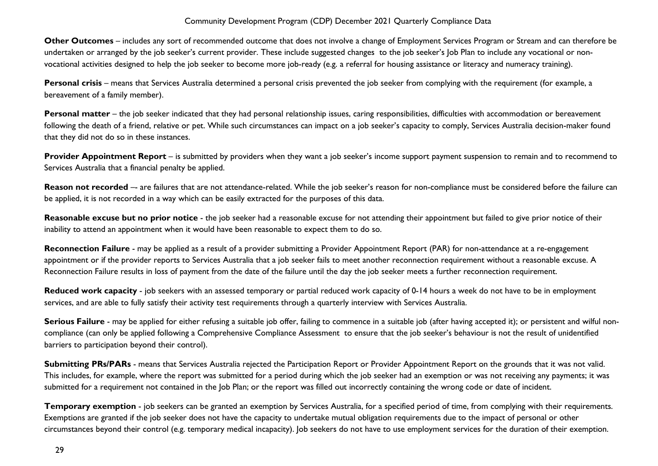**Other Outcomes** – includes any sort of recommended outcome that does not involve a change of Employment Services Program or Stream and can therefore be undertaken or arranged by the job seeker's current provider. These include suggested changes to the job seeker's Job Plan to include any vocational or nonvocational activities designed to help the job seeker to become more job-ready (e.g. a referral for housing assistance or literacy and numeracy training).

**Personal crisis** – means that Services Australia determined a personal crisis prevented the job seeker from complying with the requirement (for example, a bereavement of a family member).

Personal matter – the job seeker indicated that they had personal relationship issues, caring responsibilities, difficulties with accommodation or bereavement following the death of a friend, relative or pet. While such circumstances can impact on a job seeker's capacity to comply, Services Australia decision-maker found that they did not do so in these instances.

**Provider Appointment Report** – is submitted by providers when they want a job seeker's income support payment suspension to remain and to recommend to Services Australia that a financial penalty be applied.

Reason not recorded -- are failures that are not attendance-related. While the job seeker's reason for non-compliance must be considered before the failure can be applied, it is not recorded in a way which can be easily extracted for the purposes of this data.

Reasonable excuse but no prior notice - the job seeker had a reasonable excuse for not attending their appointment but failed to give prior notice of their inability to attend an appointment when it would have been reasonable to expect them to do so.

**Reconnection Failure** - may be applied as a result of a provider submitting a Provider Appointment Report (PAR) for non-attendance at a re-engagement appointment or if the provider reports to Services Australia that a job seeker fails to meet another reconnection requirement without a reasonable excuse. A Reconnection Failure results in loss of payment from the date of the failure until the day the job seeker meets a further reconnection requirement.

**Reduced work capacity** - job seekers with an assessed temporary or partial reduced work capacity of 0-14 hours a week do not have to be in employment services, and are able to fully satisfy their activity test requirements through a quarterly interview with Services Australia.

**Serious Failure** - may be applied for either refusing a suitable job offer, failing to commence in a suitable job (after having accepted it); or persistent and wilful noncompliance (can only be applied following a Comprehensive Compliance Assessment to ensure that the job seeker's behaviour is not the result of unidentified barriers to participation beyond their control).

**Submitting PRs/PARs** - means that Services Australia rejected the Participation Report or Provider Appointment Report on the grounds that it was not valid. This includes, for example, where the report was submitted for a period during which the job seeker had an exemption or was not receiving any payments; it was submitted for a requirement not contained in the Job Plan; or the report was filled out incorrectly containing the wrong code or date of incident.

**Temporary exemption** - job seekers can be granted an exemption by Services Australia, for a specified period of time, from complying with their requirements. Exemptions are granted if the job seeker does not have the capacity to undertake mutual obligation requirements due to the impact of personal or other circumstances beyond their control (e.g. temporary medical incapacity). Job seekers do not have to use employment services for the duration of their exemption.